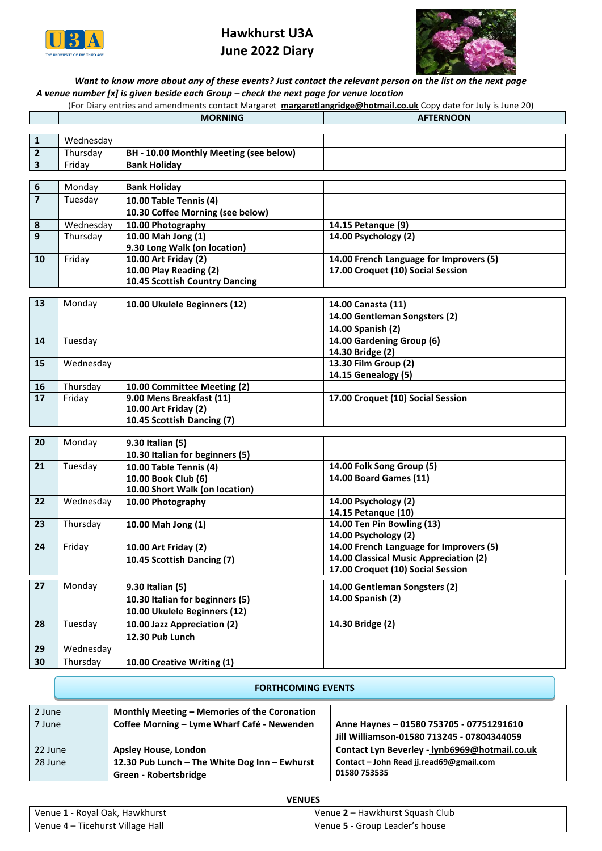

## **Hawkhurst U3A June 2022 Diary**



## *Want to know more about any of these events? Just contact the relevant person on the list on the next page A venue number [x] is given beside each Group – check the next page for venue location*

| (For Diary entries and amendments contact Margaret margaretlangridge@hotmail.co.uk Copy date for July is June 20) |                |                  |
|-------------------------------------------------------------------------------------------------------------------|----------------|------------------|
|                                                                                                                   | <b>MORNING</b> | <b>AFTERNOON</b> |

| $\mathbf 1$             | Wednesday          |                                                         |                                         |
|-------------------------|--------------------|---------------------------------------------------------|-----------------------------------------|
| $\mathbf{2}$            | Thursday           | BH - 10.00 Monthly Meeting (see below)                  |                                         |
| $\overline{\mathbf{3}}$ | Friday             | <b>Bank Holiday</b>                                     |                                         |
|                         |                    |                                                         |                                         |
| $\boldsymbol{6}$        | Monday             | <b>Bank Holiday</b>                                     |                                         |
| $\overline{\mathbf{z}}$ | Tuesday            | 10.00 Table Tennis (4)                                  |                                         |
|                         |                    | 10.30 Coffee Morning (see below)                        |                                         |
| 8                       | Wednesday          | 10.00 Photography                                       | 14.15 Petanque (9)                      |
| 9                       | Thursday           | 10.00 Mah Jong (1)                                      | 14.00 Psychology (2)                    |
|                         |                    | 9.30 Long Walk (on location)                            |                                         |
| 10                      | Friday             | 10.00 Art Friday (2)                                    | 14.00 French Language for Improvers (5) |
|                         |                    | 10.00 Play Reading (2)                                  | 17.00 Croquet (10) Social Session       |
|                         |                    | 10.45 Scottish Country Dancing                          |                                         |
|                         |                    |                                                         |                                         |
| 13                      | Monday             | 10.00 Ukulele Beginners (12)                            | 14.00 Canasta (11)                      |
|                         |                    |                                                         | 14.00 Gentleman Songsters (2)           |
|                         |                    |                                                         | 14.00 Spanish (2)                       |
| 14                      | Tuesday            |                                                         | 14.00 Gardening Group (6)               |
|                         |                    |                                                         | 14.30 Bridge (2)                        |
| 15                      | Wednesday          |                                                         | 13.30 Film Group (2)                    |
|                         |                    |                                                         | 14.15 Genealogy (5)                     |
| 16<br>17                | Thursday<br>Friday | 10.00 Committee Meeting (2)<br>9.00 Mens Breakfast (11) | 17.00 Croquet (10) Social Session       |
|                         |                    | 10.00 Art Friday (2)                                    |                                         |
|                         |                    | 10.45 Scottish Dancing (7)                              |                                         |
|                         |                    |                                                         |                                         |
| 20                      | Monday             | 9.30 Italian (5)                                        |                                         |
|                         |                    | 10.30 Italian for beginners (5)                         |                                         |
| 21                      | Tuesday            | 10.00 Table Tennis (4)                                  | 14.00 Folk Song Group (5)               |
|                         |                    | 10.00 Book Club (6)                                     | 14.00 Board Games (11)                  |
|                         |                    | 10.00 Short Walk (on location)                          |                                         |
| 22                      | Wednesday          | 10.00 Photography                                       | 14.00 Psychology (2)                    |
|                         |                    |                                                         | 14.15 Petanque (10)                     |
| 23                      | Thursday           | 10.00 Mah Jong (1)                                      | 14.00 Ten Pin Bowling (13)              |
|                         |                    |                                                         | 14.00 Psychology (2)                    |
| 24                      | Friday             | 10.00 Art Friday (2)                                    | 14.00 French Language for Improvers (5) |
|                         |                    | 10.45 Scottish Dancing (7)                              | 14.00 Classical Music Appreciation (2)  |
|                         |                    |                                                         | 17.00 Croquet (10) Social Session       |
| 27                      | Monday             | 9.30 Italian (5)                                        | 14.00 Gentleman Songsters (2)           |
|                         |                    | 10.30 Italian for beginners (5)                         | 14.00 Spanish (2)                       |
|                         |                    | 10.00 Ukulele Beginners (12)                            |                                         |
| 28                      | Tuesday            | 10.00 Jazz Appreciation (2)                             | 14.30 Bridge (2)                        |
|                         |                    | 12.30 Pub Lunch                                         |                                         |
| 29                      | Wednesday          |                                                         |                                         |
| 30                      | Thursday           | 10.00 Creative Writing (1)                              |                                         |
|                         |                    |                                                         |                                         |

| 2 June  | Monthly Meeting – Memories of the Coronation                           |                                                                                        |
|---------|------------------------------------------------------------------------|----------------------------------------------------------------------------------------|
| 7 June  | Coffee Morning – Lyme Wharf Café - Newenden                            | Anne Haynes - 01580 753705 - 07751291610<br>Jill Williamson-01580 713245 - 07804344059 |
| 22 June | Apsley House, London                                                   | Contact Lyn Beverley - lynb6969@hotmail.co.uk                                          |
| 28 June | 12.30 Pub Lunch - The White Dog Inn - Ewhurst<br>Green - Robertsbridge | Contact - John Read jj.read69@gmail.com<br>01580 753535                                |

**FORTHCOMING EVENTS**

| <b>VENUES</b>                    |                                 |  |
|----------------------------------|---------------------------------|--|
| Venue 1 - Royal Oak, Hawkhurst   | Venue 2 – Hawkhurst Squash Club |  |
| Venue 4 – Ticehurst Village Hall | Venue 5 - Group Leader's house  |  |